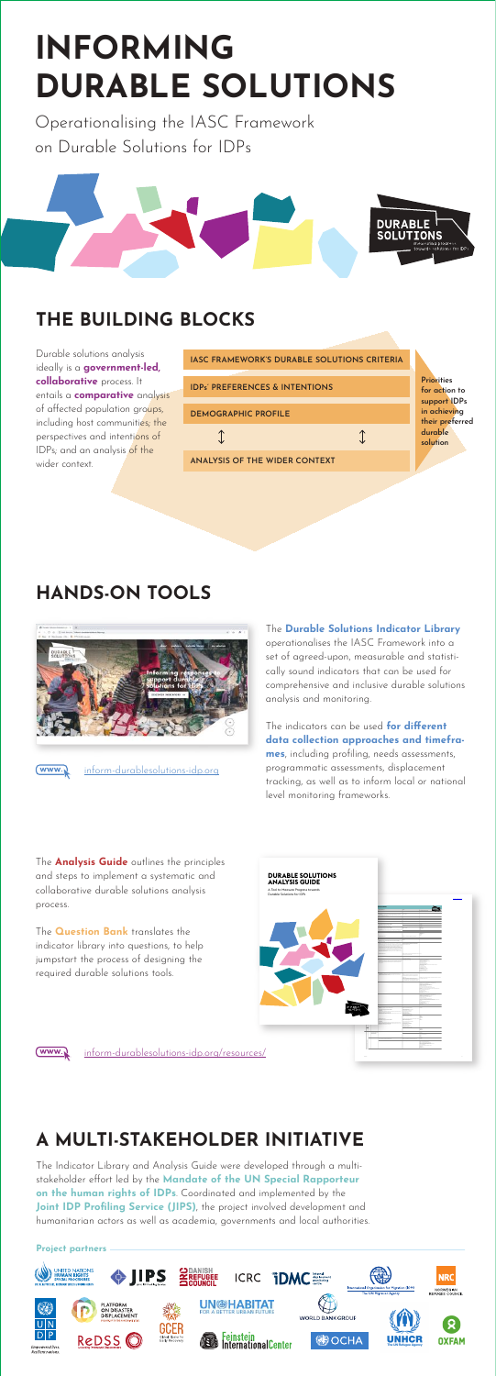# **INFORMING DURABLE SOLUTIONS**

Operationalising the IASC Framework on Durable Solutions for IDPs



| <b>IASC FRAMEWORK'S DURABLE SOLUTIONS CRITERIA</b> |                                                    |
|----------------------------------------------------|----------------------------------------------------|
| <b>IDPs' PREFERENCES &amp; INTENTIONS</b>          | <b>Prinrities</b><br>for action to<br>support IDPs |
| <b>DEMOGRAPHIC PROFILE</b>                         | in achieving<br>their preferred                    |
|                                                    | durable<br>solution                                |
| ANALYSIS OF THE WIDER CONTEXT                      |                                                    |

Durable solutions analysis ideally is a **government-led, collaborative** process. It entails a **comparative** analysis of affected population groups, including host communities; the perspectives and intentions of IDPs; and an analysis of the wider context.

## **THE BUILDING BLOCKS**

### **HANDS-ON TOOLS**



(www.)

The **Durable Solutions Indicator Library**  operationalises the IASC Framework into a set of agreed-upon, measurable and statistically sound indicators that can be used for comprehensive and inclusive durable solutions analysis and monitoring.

The indicators can be used **for different data collection approaches and timeframes**, including profiling, needs assessments, programmatic assessments, displacement tracking, as well as to inform local or national level monitoring frameworks.

The **Analysis Guide** outlines the principles and steps to implement a systematic and collaborative durable solutions analysis process.

The **Question Bank** translates the indicator library into questions, to help jumpstart the process of designing the required durable solutions tools.

inform-durablesolutions-idp.org/resources/

inform-durablesolutions-idp.org





#### **A MULTI-STAKEHOLDER INITIATIVE**

The Indicator Library and Analysis Guide were developed through a multistakeholder effort led by the **Mandate of the UN Special Rapporteur on the human rights of IDPs**. Coordinated and implemented by the **Joint IDP Profiling Service (JIPS)**, the project involved development and humanitarian actors as well as academia, governments and local authorities.

#### **Project partners**